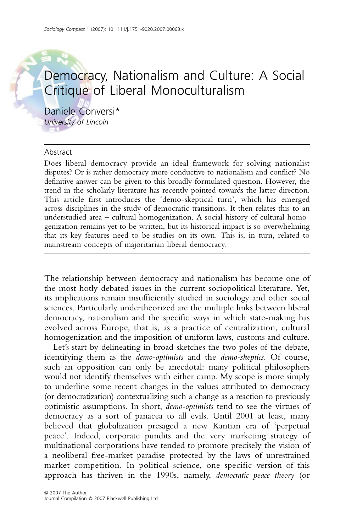# Democracy, Nationalism and Culture: A Social Critique of Liberal Monoculturalism

Daniele Conversi\* *University of Lincoln*

#### Abstract

Does liberal democracy provide an ideal framework for solving nationalist disputes? Or is rather democracy more conductive to nationalism and conflict? No definitive answer can be given to this broadly formulated question. However, the trend in the scholarly literature has recently pointed towards the latter direction. This article first introduces the 'demo-skeptical turn', which has emerged across disciplines in the study of democratic transitions. It then relates this to an understudied area – cultural homogenization. A social history of cultural homogenization remains yet to be written, but its historical impact is so overwhelming that its key features need to be studies on its own. This is, in turn, related to mainstream concepts of majoritarian liberal democracy.

The relationship between democracy and nationalism has become one of the most hotly debated issues in the current sociopolitical literature. Yet, its implications remain insufficiently studied in sociology and other social sciences. Particularly undertheorized are the multiple links between liberal democracy, nationalism and the specific ways in which state-making has evolved across Europe, that is, as a practice of centralization, cultural homogenization and the imposition of uniform laws, customs and culture.

Let's start by delineating in broad sketches the two poles of the debate, identifying them as the *demo-optimists* and the *demo-skeptics*. Of course, such an opposition can only be anecdotal: many political philosophers would not identify themselves with either camp. My scope is more simply to underline some recent changes in the values attributed to democracy (or democratization) contextualizing such a change as a reaction to previously optimistic assumptions. In short, *demo-optimists* tend to see the virtues of democracy as a sort of panacea to all evils. Until 2001 at least, many believed that globalization presaged a new Kantian era of 'perpetual peace'. Indeed, corporate pundits and the very marketing strategy of multinational corporations have tended to promote precisely the vision of a neoliberal free-market paradise protected by the laws of unrestrained market competition. In political science, one specific version of this approach has thriven in the 1990s, namely, *democratic peace theory* (or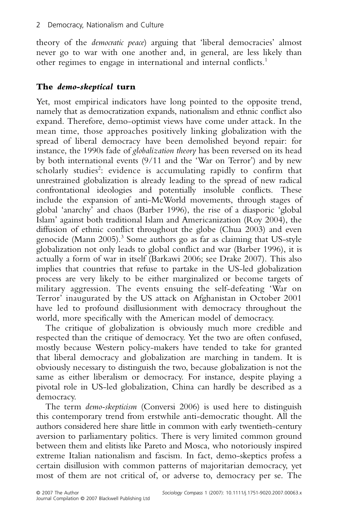theory of the *democratic peace*) arguing that 'liberal democracies' almost never go to war with one another and, in general, are less likely than other regimes to engage in international and internal conflicts.<sup>1</sup>

### **The** *demo-skeptical* **turn**

Yet, most empirical indicators have long pointed to the opposite trend, namely that as democratization expands, nationalism and ethnic conflict also expand. Therefore, demo-optimist views have come under attack. In the mean time, those approaches positively linking globalization with the spread of liberal democracy have been demolished beyond repair: for instance, the 1990s fade of *globalization theory* has been reversed on its head by both international events (9/11 and the 'War on Terror') and by new scholarly studies<sup>2</sup>: evidence is accumulating rapidly to confirm that unrestrained globalization is already leading to the spread of new radical confrontational ideologies and potentially insoluble conflicts. These include the expansion of anti-McWorld movements, through stages of global 'anarchy' and chaos (Barber 1996), the rise of a diasporic 'global Islam' against both traditional Islam and Americanization (Roy 2004), the diffusion of ethnic conflict throughout the globe (Chua 2003) and even genocide (Mann 2005).<sup>3</sup> Some authors go as far as claiming that US-style globalization not only leads to global conflict and war (Barber 1996), it is actually a form of war in itself (Barkawi 2006; see Drake 2007). This also implies that countries that refuse to partake in the US-led globalization process are very likely to be either marginalized or become targets of military aggression. The events ensuing the self-defeating 'War on Terror' inaugurated by the US attack on Afghanistan in October 2001 have led to profound disillusionment with democracy throughout the world, more specifically with the American model of democracy.

The critique of globalization is obviously much more credible and respected than the critique of democracy. Yet the two are often confused, mostly because Western policy-makers have tended to take for granted that liberal democracy and globalization are marching in tandem. It is obviously necessary to distinguish the two, because globalization is not the same as either liberalism or democracy. For instance, despite playing a pivotal role in US-led globalization, China can hardly be described as a democracy.

The term *demo-skepticism* (Conversi 2006) is used here to distinguish this contemporary trend from erstwhile anti-democratic thought. All the authors considered here share little in common with early twentieth-century aversion to parliamentary politics. There is very limited common ground between them and elitists like Pareto and Mosca, who notoriously inspired extreme Italian nationalism and fascism. In fact, demo-skeptics profess a certain disillusion with common patterns of majoritarian democracy, yet most of them are not critical of, or adverse to, democracy per se. The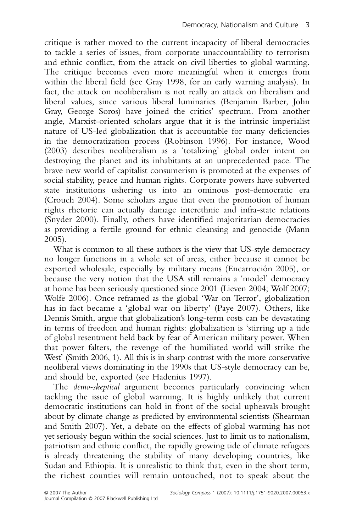critique is rather moved to the current incapacity of liberal democracies to tackle a series of issues, from corporate unaccountability to terrorism and ethnic conflict, from the attack on civil liberties to global warming. The critique becomes even more meaningful when it emerges from within the liberal field (see Gray 1998, for an early warning analysis). In fact, the attack on neoliberalism is not really an attack on liberalism and liberal values, since various liberal luminaries (Benjamin Barber, John Gray, George Soros) have joined the critics' spectrum. From another angle, Marxist-oriented scholars argue that it is the intrinsic imperialist nature of US-led globalization that is accountable for many deficiencies in the democratization process (Robinson 1996). For instance, Wood (2003) describes neoliberalism as a 'totalizing' global order intent on destroying the planet and its inhabitants at an unprecedented pace. The brave new world of capitalist consumerism is promoted at the expenses of social stability, peace and human rights. Corporate powers have subverted state institutions ushering us into an ominous post-democratic era (Crouch 2004). Some scholars argue that even the promotion of human rights rhetoric can actually damage interethnic and infra-state relations (Snyder 2000). Finally, others have identified majoritarian democracies as providing a fertile ground for ethnic cleansing and genocide (Mann 2005).

What is common to all these authors is the view that US-style democracy no longer functions in a whole set of areas, either because it cannot be exported wholesale, especially by military means (Encarnación 2005), or because the very notion that the USA still remains a 'model' democracy at home has been seriously questioned since 2001 (Lieven 2004; Wolf 2007; Wolfe 2006). Once reframed as the global 'War on Terror', globalization has in fact became a 'global war on liberty' (Paye 2007). Others, like Dennis Smith, argue that globalization's long-term costs can be devastating in terms of freedom and human rights: globalization is 'stirring up a tide of global resentment held back by fear of American military power. When that power falters, the revenge of the humiliated world will strike the West' (Smith 2006, 1). All this is in sharp contrast with the more conservative neoliberal views dominating in the 1990s that US-style democracy can be, and should be, exported (see Hadenius 1997).

The *demo-skeptical* argument becomes particularly convincing when tackling the issue of global warming. It is highly unlikely that current democratic institutions can hold in front of the social upheavals brought about by climate change as predicted by environmental scientists (Shearman and Smith 2007). Yet, a debate on the effects of global warming has not yet seriously begun within the social sciences. Just to limit us to nationalism, patriotism and ethnic conflict, the rapidly growing tide of climate refugees is already threatening the stability of many developing countries, like Sudan and Ethiopia. It is unrealistic to think that, even in the short term, the richest counties will remain untouched, not to speak about the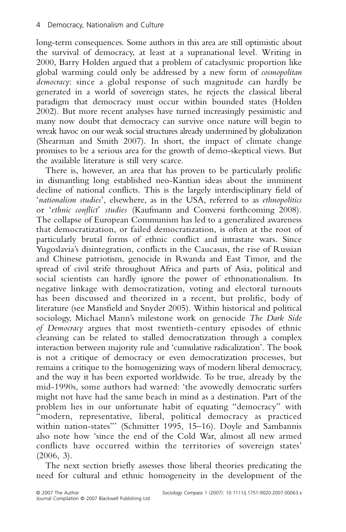long-term consequences. Some authors in this area are still optimistic about the survival of democracy, at least at a supranational level. Writing in 2000, Barry Holden argued that a problem of cataclysmic proportion like global warming could only be addressed by a new form of *cosmopolitan democracy*: since a global response of such magnitude can hardly be generated in a world of sovereign states, he rejects the classical liberal paradigm that democracy must occur within bounded states (Holden 2002). But more recent analyses have turned increasingly pessimistic and many now doubt that democracy can survive once nature will begin to wreak havoc on our weak social structures already undermined by globalization (Shearman and Smith 2007). In short, the impact of climate change promises to be a serious area for the growth of demo-skeptical views. But the available literature is still very scarce.

There is, however, an area that has proven to be particularly prolific in dismantling long established neo-Kantian ideas about the imminent decline of national conflicts. This is the largely interdisciplinary field of '*nationalism studies*', elsewhere, as in the USA, referred to as *ethnopolitics* or '*ethnic conflict*' *studies* (Kaufmann and Conversi forthcoming 2008). The collapse of European Communism has led to a generalized awareness that democratization, or failed democratization, is often at the root of particularly brutal forms of ethnic conflict and intrastate wars. Since Yugoslavia's disintegration, conflicts in the Caucasus, the rise of Russian and Chinese patriotism, genocide in Rwanda and East Timor, and the spread of civil strife throughout Africa and parts of Asia, political and social scientists can hardly ignore the power of ethnonationalism. Its negative linkage with democratization, voting and electoral turnouts has been discussed and theorized in a recent, but prolific, body of literature (see Mansfield and Snyder 2005). Within historical and political sociology, Michael Mann's milestone work on genocide *The Dark Side of Democracy* argues that most twentieth-century episodes of ethnic cleansing can be related to stalled democratization through a complex interaction between majority rule and 'cumulative radicalization'. The book is not a critique of democracy or even democratization processes, but remains a critique to the homogenizing ways of modern liberal democracy, and the way it has been exported worldwide. To be true, already by the mid-1990s, some authors had warned: 'the avowedly democratic surfers might not have had the same beach in mind as a destination. Part of the problem lies in our unfortunate habit of equating "democracy" with "modern, representative, liberal, political democracy as practiced within nation-states"' (Schmitter 1995, 15-16). Doyle and Sambannis also note how 'since the end of the Cold War, almost all new armed conflicts have occurred within the territories of sovereign states' (2006, 3).

The next section briefly assesses those liberal theories predicating the need for cultural and ethnic homogeneity in the development of the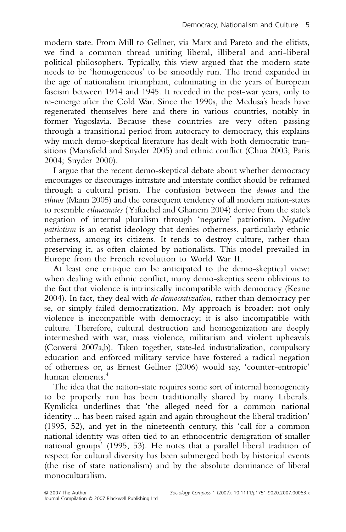modern state. From Mill to Gellner, via Marx and Pareto and the elitists, we find a common thread uniting liberal, illiberal and anti-liberal political philosophers. Typically, this view argued that the modern state needs to be 'homogeneous' to be smoothly run. The trend expanded in the age of nationalism triumphant, culminating in the years of European fascism between 1914 and 1945. It receded in the post-war years, only to re-emerge after the Cold War. Since the 1990s, the Medusa's heads have regenerated themselves here and there in various countries, notably in former Yugoslavia. Because these countries are very often passing through a transitional period from autocracy to democracy, this explains why much demo-skeptical literature has dealt with both democratic transitions (Mansfield and Snyder 2005) and ethnic conflict (Chua 2003; Paris 2004; Snyder 2000).

I argue that the recent demo-skeptical debate about whether democracy encourages or discourages intrastate and interstate conflict should be reframed through a cultural prism. The confusion between the *demos* and the *ethnos* (Mann 2005) and the consequent tendency of all modern nation-states to resemble *ethnocracies* (Yiftachel and Ghanem 2004) derive from the state's negation of internal pluralism through 'negative' patriotism. *Negative patriotism* is an etatist ideology that denies otherness, particularly ethnic otherness, among its citizens. It tends to destroy culture, rather than preserving it, as often claimed by nationalists. This model prevailed in Europe from the French revolution to World War II.

At least one critique can be anticipated to the demo-skeptical view: when dealing with ethnic conflict, many demo-skeptics seem oblivious to the fact that violence is intrinsically incompatible with democracy (Keane 2004). In fact, they deal with *de-democratization*, rather than democracy per se, or simply failed democratization. My approach is broader: not only violence is incompatible with democracy; it is also incompatible with culture. Therefore, cultural destruction and homogenization are deeply intermeshed with war, mass violence, militarism and violent upheavals (Conversi 2007a,b). Taken together, state-led industrialization, compulsory education and enforced military service have fostered a radical negation of otherness or, as Ernest Gellner (2006) would say, 'counter-entropic' human elements.<sup>4</sup>

The idea that the nation-state requires some sort of internal homogeneity to be properly run has been traditionally shared by many Liberals. Kymlicka underlines that 'the alleged need for a common national identity ... has been raised again and again throughout the liberal tradition' (1995, 52), and yet in the nineteenth century, this 'call for a common national identity was often tied to an ethnocentric denigration of smaller national groups' (1995, 53). He notes that a parallel liberal tradition of respect for cultural diversity has been submerged both by historical events (the rise of state nationalism) and by the absolute dominance of liberal monoculturalism.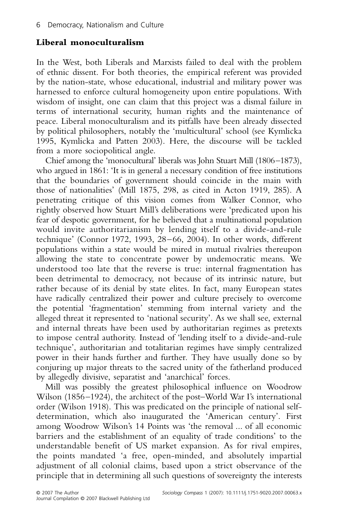## **Liberal monoculturalism**

In the West, both Liberals and Marxists failed to deal with the problem of ethnic dissent. For both theories, the empirical referent was provided by the nation-state, whose educational, industrial and military power was harnessed to enforce cultural homogeneity upon entire populations. With wisdom of insight, one can claim that this project was a dismal failure in terms of international security, human rights and the maintenance of peace. Liberal monoculturalism and its pitfalls have been already dissected by political philosophers, notably the 'multicultural' school (see Kymlicka 1995, Kymlicka and Patten 2003). Here, the discourse will be tackled from a more sociopolitical angle.

Chief among the 'monocultural' liberals was John Stuart Mill (1806–1873), who argued in 1861: 'It is in general a necessary condition of free institutions that the boundaries of government should coincide in the main with those of nationalities' (Mill 1875, 298, as cited in Acton 1919, 285). A penetrating critique of this vision comes from Walker Connor, who rightly observed how Stuart Mill's deliberations were 'predicated upon his fear of despotic government, for he believed that a multinational population would invite authoritarianism by lending itself to a divide-and-rule technique' (Connor 1972, 1993, 28–66, 2004). In other words, different populations within a state would be mired in mutual rivalries thereupon allowing the state to concentrate power by undemocratic means. We understood too late that the reverse is true: internal fragmentation has been detrimental to democracy, not because of its intrinsic nature, but rather because of its denial by state elites. In fact, many European states have radically centralized their power and culture precisely to overcome the potential 'fragmentation' stemming from internal variety and the alleged threat it represented to 'national security'. As we shall see, external and internal threats have been used by authoritarian regimes as pretexts to impose central authority. Instead of 'lending itself to a divide-and-rule technique', authoritarian and totalitarian regimes have simply centralized power in their hands further and further. They have usually done so by conjuring up major threats to the sacred unity of the fatherland produced by allegedly divisive, separatist and 'anarchical' forces.

Mill was possibly the greatest philosophical influence on Woodrow Wilson (1856–1924), the architect of the post–World War I's international order (Wilson 1918). This was predicated on the principle of national selfdetermination, which also inaugurated the 'American century'. First among Woodrow Wilson's 14 Points was 'the removal ... of all economic barriers and the establishment of an equality of trade conditions' to the understandable benefit of US market expansion. As for rival empires, the points mandated 'a free, open-minded, and absolutely impartial adjustment of all colonial claims, based upon a strict observance of the principle that in determining all such questions of sovereignty the interests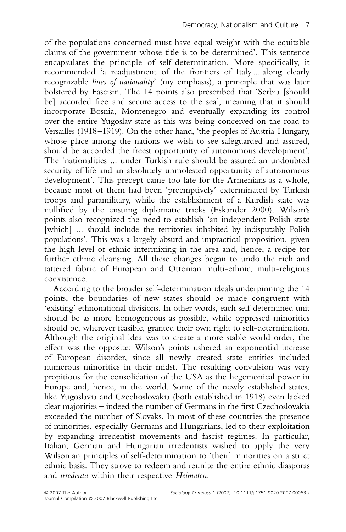of the populations concerned must have equal weight with the equitable claims of the government whose title is to be determined'. This sentence encapsulates the principle of self-determination. More specifically, it recommended 'a readjustment of the frontiers of Italy ... along clearly recognizable *lines of nationality*' (my emphasis), a principle that was later bolstered by Fascism. The 14 points also prescribed that 'Serbia [should be] accorded free and secure access to the sea', meaning that it should incorporate Bosnia, Montenegro and eventually expanding its control over the entire Yugoslav state as this was being conceived on the road to Versailles (1918–1919). On the other hand, 'the peoples of Austria-Hungary, whose place among the nations we wish to see safeguarded and assured, should be accorded the freest opportunity of autonomous development'. The 'nationalities ... under Turkish rule should be assured an undoubted security of life and an absolutely unmolested opportunity of autonomous development'. This precept came too late for the Armenians as a whole, because most of them had been 'preemptively' exterminated by Turkish troops and paramilitary, while the establishment of a Kurdish state was nullified by the ensuing diplomatic tricks (Eskander 2000). Wilson's points also recognized the need to establish 'an independent Polish state [which] ... should include the territories inhabited by indisputably Polish populations'. This was a largely absurd and impractical proposition, given the high level of ethnic intermixing in the area and, hence, a recipe for further ethnic cleansing. All these changes began to undo the rich and tattered fabric of European and Ottoman multi-ethnic, multi-religious coexistence.

According to the broader self-determination ideals underpinning the 14 points, the boundaries of new states should be made congruent with 'existing' ethnonational divisions. In other words, each self-determined unit should be as more homogeneous as possible, while oppressed minorities should be, wherever feasible, granted their own right to self-determination. Although the original idea was to create a more stable world order, the effect was the opposite: Wilson's points ushered an exponential increase of European disorder, since all newly created state entities included numerous minorities in their midst. The resulting convulsion was very propitious for the consolidation of the USA as the hegemonical power in Europe and, hence, in the world. Some of the newly established states, like Yugoslavia and Czechoslovakia (both established in 1918) even lacked clear majorities – indeed the number of Germans in the first Czechoslovakia exceeded the number of Slovaks. In most of these countries the presence of minorities, especially Germans and Hungarians, led to their exploitation by expanding irredentist movements and fascist regimes. In particular, Italian, German and Hungarian irredentists wished to apply the very Wilsonian principles of self-determination to 'their' minorities on a strict ethnic basis. They strove to redeem and reunite the entire ethnic diasporas and *irredenta* within their respective *Heimaten*.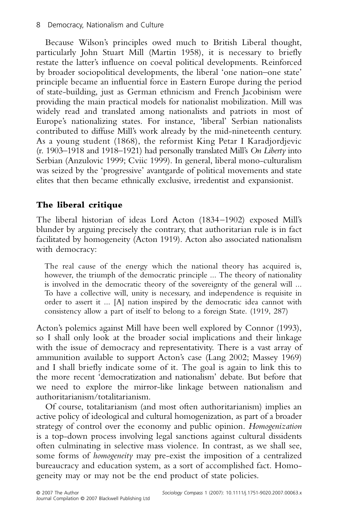Because Wilson's principles owed much to British Liberal thought, particularly John Stuart Mill (Martin 1958), it is necessary to briefly restate the latter's influence on coeval political developments. Reinforced by broader sociopolitical developments, the liberal 'one nation–one state' principle became an influential force in Eastern Europe during the period of state-building, just as German ethnicism and French Jacobinism were providing the main practical models for nationalist mobilization. Mill was widely read and translated among nationalists and patriots in most of Europe's nationalizing states. For instance, 'liberal' Serbian nationalists contributed to diffuse Mill's work already by the mid-nineteenth century. As a young student (1868), the reformist King Petar I Karadjordjevic (r. 1903–1918 and 1918–1921) had personally translated Mill's *On Liberty* into Serbian (Anzulovic 1999; Cviic 1999). In general, liberal mono-culturalism was seized by the 'progressive' avantgarde of political movements and state elites that then became ethnically exclusive, irredentist and expansionist.

## **The liberal critique**

The liberal historian of ideas Lord Acton (1834–1902) exposed Mill's blunder by arguing precisely the contrary, that authoritarian rule is in fact facilitated by homogeneity (Acton 1919). Acton also associated nationalism with democracy:

The real cause of the energy which the national theory has acquired is, however, the triumph of the democratic principle ... The theory of nationality is involved in the democratic theory of the sovereignty of the general will ... To have a collective will, unity is necessary, and independence is requisite in order to assert it ... [A] nation inspired by the democratic idea cannot with consistency allow a part of itself to belong to a foreign State. (1919, 287)

Acton's polemics against Mill have been well explored by Connor (1993), so I shall only look at the broader social implications and their linkage with the issue of democracy and representativity. There is a vast array of ammunition available to support Acton's case (Lang 2002; Massey 1969) and I shall briefly indicate some of it. The goal is again to link this to the more recent 'democratization and nationalism' debate. But before that we need to explore the mirror-like linkage between nationalism and authoritarianism/totalitarianism.

Of course, totalitarianism (and most often authoritarianism) implies an active policy of ideological and cultural homogenization, as part of a broader strategy of control over the economy and public opinion. *Homogenization* is a top-down process involving legal sanctions against cultural dissidents often culminating in selective mass violence. In contrast, as we shall see, some forms of *homogeneity* may pre-exist the imposition of a centralized bureaucracy and education system, as a sort of accomplished fact. Homogeneity may or may not be the end product of state policies.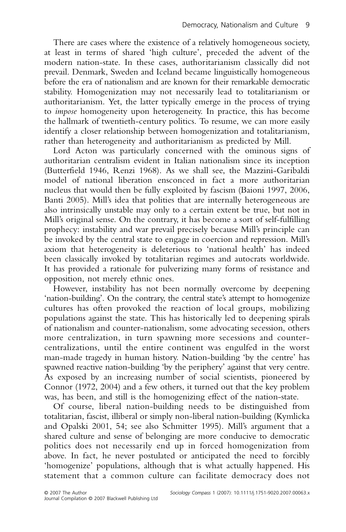There are cases where the existence of a relatively homogeneous society, at least in terms of shared 'high culture', preceded the advent of the modern nation-state. In these cases, authoritarianism classically did not prevail. Denmark, Sweden and Iceland became linguistically homogeneous before the era of nationalism and are known for their remarkable democratic stability. Homogenization may not necessarily lead to totalitarianism or authoritarianism. Yet, the latter typically emerge in the process of trying to *impose* homogeneity upon heterogeneity. In practice, this has become the hallmark of twentieth-century politics. To resume, we can more easily identify a closer relationship between homogenization and totalitarianism, rather than heterogeneity and authoritarianism as predicted by Mill.

Lord Acton was particularly concerned with the ominous signs of authoritarian centralism evident in Italian nationalism since its inception (Butterfield 1946, Renzi 1968). As we shall see, the Mazzini-Garibaldi model of national liberation ensconced in fact a more authoritarian nucleus that would then be fully exploited by fascism (Baioni 1997, 2006, Banti 2005). Mill's idea that polities that are internally heterogeneous are also intrinsically unstable may only to a certain extent be true, but not in Mill's original sense. On the contrary, it has become a sort of self-fulfilling prophecy: instability and war prevail precisely because Mill's principle can be invoked by the central state to engage in coercion and repression. Mill's axiom that heterogeneity is deleterious to 'national health' has indeed been classically invoked by totalitarian regimes and autocrats worldwide. It has provided a rationale for pulverizing many forms of resistance and opposition, not merely ethnic ones.

However, instability has not been normally overcome by deepening 'nation-building'. On the contrary, the central state's attempt to homogenize cultures has often provoked the reaction of local groups, mobilizing populations against the state. This has historically led to deepening spirals of nationalism and counter-nationalism, some advocating secession, others more centralization, in turn spawning more secessions and countercentralizations, until the entire continent was engulfed in the worst man-made tragedy in human history. Nation-building 'by the centre' has spawned reactive nation-building 'by the periphery' against that very centre. As exposed by an increasing number of social scientists, pioneered by Connor (1972, 2004) and a few others, it turned out that the key problem was, has been, and still is the homogenizing effect of the nation-state.

Of course, liberal nation-building needs to be distinguished from totalitarian, fascist, illiberal or simply non-liberal nation-building (Kymlicka and Opalski 2001, 54; see also Schmitter 1995). Mill's argument that a shared culture and sense of belonging are more conducive to democratic politics does not necessarily end up in forced homogenization from above. In fact, he never postulated or anticipated the need to forcibly 'homogenize' populations, although that is what actually happened. His statement that a common culture can facilitate democracy does not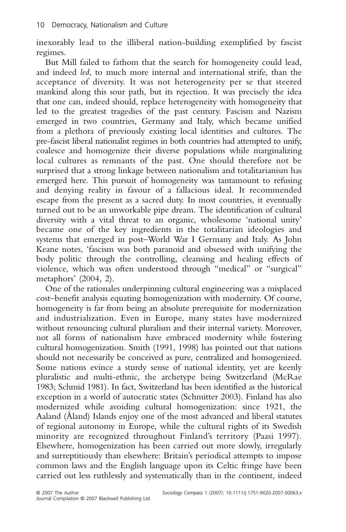inexorably lead to the illiberal nation-building exemplified by fascist regimes.

But Mill failed to fathom that the search for homogeneity could lead, and indeed *led*, to much more internal and international strife, than the acceptance of diversity. It was not heterogeneity per se that steered mankind along this sour path, but its rejection. It was precisely the idea that one can, indeed should, replace heterogeneity with homogeneity that led to the greatest tragedies of the past century. Fascism and Nazism emerged in two countries, Germany and Italy, which became unified from a plethora of previously existing local identities and cultures. The pre-fascist liberal nationalist regimes in both countries had attempted to unify, coalesce and homogenize their diverse populations while marginalizing local cultures as remnants of the past. One should therefore not be surprised that a strong linkage between nationalism and totalitarianism has emerged here. This pursuit of homogeneity was tantamount to refusing and denying reality in favour of a fallacious ideal. It recommended escape from the present as a sacred duty. In most countries, it eventually turned out to be an unworkable pipe dream. The identification of cultural diversity with a vital threat to an organic, wholesome 'national unity' became one of the key ingredients in the totalitarian ideologies and systems that emerged in post–World War I Germany and Italy. As John Keane notes, 'fascism was both paranoid and obsessed with unifying the body politic through the controlling, cleansing and healing effects of violence, which was often understood through "medical" or "surgical" metaphors' (2004, 2).

One of the rationales underpinning cultural engineering was a misplaced cost–benefit analysis equating homogenization with modernity. Of course, homogeneity is far from being an absolute prerequisite for modernization and industrialization. Even in Europe, many states have modernized without renouncing cultural pluralism and their internal variety. Moreover, not all forms of nationalism have embraced modernity while fostering cultural homogenization. Smith (1991, 1998) has pointed out that nations should not necessarily be conceived as pure, centralized and homogenized. Some nations evince a sturdy sense of national identity, yet are keenly pluralistic and multi-ethnic, the archetype being Switzerland (McRae 1983; Schmid 1981). In fact, Switzerland has been identified as the historical exception in a world of autocratic states (Schmitter 2003). Finland has also modernized while avoiding cultural homogenization: since 1921, the Aaland (Åland) Islands enjoy one of the most advanced and liberal statutes of regional autonomy in Europe, while the cultural rights of its Swedish minority are recognized throughout Finland's territory (Paasi 1997). Elsewhere, homogenization has been carried out more slowly, irregularly and surreptitiously than elsewhere: Britain's periodical attempts to impose common laws and the English language upon its Celtic fringe have been carried out less ruthlessly and systematically than in the continent, indeed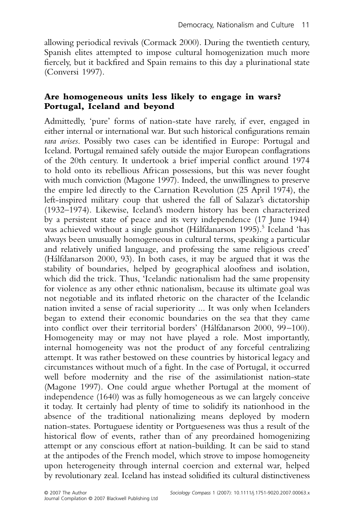allowing periodical revivals (Cormack 2000). During the twentieth century, Spanish elites attempted to impose cultural homogenization much more fiercely, but it backfired and Spain remains to this day a plurinational state (Conversi 1997).

## **Are homogeneous units less likely to engage in wars? Portugal, Iceland and beyond**

Admittedly, 'pure' forms of nation-state have rarely, if ever, engaged in either internal or international war. But such historical configurations remain *rara avises*. Possibly two cases can be identified in Europe: Portugal and Iceland. Portugal remained safely outside the major European conflagrations of the 20th century. It undertook a brief imperial conflict around 1974 to hold onto its rebellious African possessions, but this was never fought with much conviction (Magone 1997). Indeed, the unwillingness to preserve the empire led directly to the Carnation Revolution (25 April 1974), the left-inspired military coup that ushered the fall of Salazar's dictatorship (1932–1974). Likewise, Iceland's modern history has been characterized by a persistent state of peace and its very independence (17 June 1944) was achieved without a single gunshot (Hálfdanarson 1995).<sup>5</sup> Iceland 'has always been unusually homogeneous in cultural terms, speaking a particular and relatively unified language, and professing the same religious creed' (Hálfdanarson 2000, 93). In both cases, it may be argued that it was the stability of boundaries, helped by geographical aloofness and isolation, which did the trick. Thus, 'Icelandic nationalism had the same propensity for violence as any other ethnic nationalism, because its ultimate goal was not negotiable and its inflated rhetoric on the character of the Icelandic nation invited a sense of racial superiority ... It was only when Icelanders began to extend their economic boundaries on the sea that they came into conflict over their territorial borders' (Hálfdanarson 2000, 99–100). Homogeneity may or may not have played a role. Most importantly, internal homogeneity was not the product of any forceful centralizing attempt. It was rather bestowed on these countries by historical legacy and circumstances without much of a fight. In the case of Portugal, it occurred well before modernity and the rise of the assimilationist nation-state (Magone 1997). One could argue whether Portugal at the moment of independence (1640) was as fully homogeneous as we can largely conceive it today. It certainly had plenty of time to solidify its nationhood in the absence of the traditional nationalizing means deployed by modern nation-states. Portuguese identity or Portgueseness was thus a result of the historical flow of events, rather than of any preordained homogenizing attempt or any conscious effort at nation-building. It can be said to stand at the antipodes of the French model, which strove to impose homogeneity upon heterogeneity through internal coercion and external war, helped by revolutionary zeal. Iceland has instead solidified its cultural distinctiveness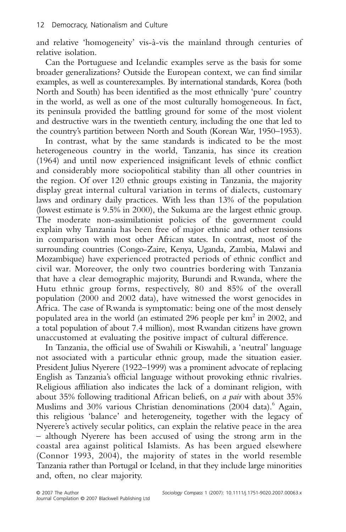and relative 'homogeneity' vis-à-vis the mainland through centuries of relative isolation.

Can the Portuguese and Icelandic examples serve as the basis for some broader generalizations? Outside the European context, we can find similar examples, as well as counterexamples. By international standards, Korea (both North and South) has been identified as the most ethnically 'pure' country in the world, as well as one of the most culturally homogeneous. In fact, its peninsula provided the battling ground for some of the most violent and destructive wars in the twentieth century, including the one that led to the country's partition between North and South (Korean War, 1950–1953).

In contrast, what by the same standards is indicated to be the most heterogeneous country in the world, Tanzania, has since its creation (1964) and until now experienced insignificant levels of ethnic conflict and considerably more sociopolitical stability than all other countries in the region. Of over 120 ethnic groups existing in Tanzania, the majority display great internal cultural variation in terms of dialects, customary laws and ordinary daily practices. With less than 13% of the population (lowest estimate is 9.5% in 2000), the Sukuma are the largest ethnic group. The moderate non-assimilationist policies of the government could explain why Tanzania has been free of major ethnic and other tensions in comparison with most other African states. In contrast, most of the surrounding countries (Congo-Zaire, Kenya, Uganda, Zambia, Malawi and Mozambique) have experienced protracted periods of ethnic conflict and civil war. Moreover, the only two countries bordering with Tanzania that have a clear demographic majority, Burundi and Rwanda, where the Hutu ethnic group forms, respectively, 80 and 85% of the overall population (2000 and 2002 data), have witnessed the worst genocides in Africa. The case of Rwanda is symptomatic: being one of the most densely populated area in the world (an estimated 296 people per  $\text{km}^2$  in 2002, and a total population of about 7.4 million), most Rwandan citizens have grown unaccustomed at evaluating the positive impact of cultural difference.

In Tanzania, the official use of Swahili or Kiswahili, a 'neutral' language not associated with a particular ethnic group, made the situation easier. President Julius Nyerere (1922–1999) was a prominent advocate of replacing English as Tanzania's official language without provoking ethnic rivalries. Religious affiliation also indicates the lack of a dominant religion, with about 35% following traditional African beliefs, on *a pair* with about 35% Muslims and 30% various Christian denominations (2004 data).<sup>6</sup> Again, this religious 'balance' and heterogeneity, together with the legacy of Nyerere's actively secular politics, can explain the relative peace in the area – although Nyerere has been accused of using the strong arm in the coastal area against political Islamists. As has been argued elsewhere (Connor 1993, 2004), the majority of states in the world resemble Tanzania rather than Portugal or Iceland, in that they include large minorities and, often, no clear majority.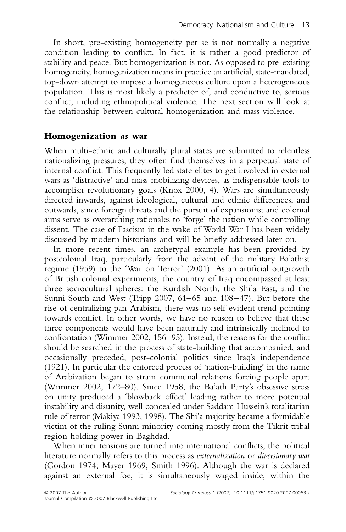In short, pre-existing homogeneity per se is not normally a negative condition leading to conflict. In fact, it is rather a good predictor of stability and peace. But homogenization is not. As opposed to pre-existing homogeneity, homogenization means in practice an artificial, state-mandated, top-down attempt to impose a homogeneous culture upon a heterogeneous population. This is most likely a predictor of, and conductive to, serious conflict, including ethnopolitical violence. The next section will look at the relationship between cultural homogenization and mass violence.

#### **Homogenization** *as* **war**

When multi-ethnic and culturally plural states are submitted to relentless nationalizing pressures, they often find themselves in a perpetual state of internal conflict. This frequently led state elites to get involved in external wars as 'distractive' and mass mobilizing devices, as indispensable tools to accomplish revolutionary goals (Knox 2000, 4). Wars are simultaneously directed inwards, against ideological, cultural and ethnic differences, and outwards, since foreign threats and the pursuit of expansionist and colonial aims serve as overarching rationales to 'forge' the nation while controlling dissent. The case of Fascism in the wake of World War I has been widely discussed by modern historians and will be briefly addressed later on.

In more recent times, an archetypal example has been provided by postcolonial Iraq, particularly from the advent of the military Ba'athist regime (1959) to the 'War on Terror' (2001). As an artificial outgrowth of British colonial experiments, the country of Iraq encompassed at least three sociocultural spheres: the Kurdish North, the Shi'a East, and the Sunni South and West (Tripp 2007, 61–65 and 108–47). But before the rise of centralizing pan-Arabism, there was no self-evident trend pointing towards conflict. In other words, we have no reason to believe that these three components would have been naturally and intrinsically inclined to confrontation (Wimmer 2002, 156–95). Instead, the reasons for the conflict should be searched in the process of state-building that accompanied, and occasionally preceded, post-colonial politics since Iraq's independence (1921). In particular the enforced process of 'nation-building' in the name of Arabization began to strain communal relations forcing people apart (Wimmer 2002, 172–80). Since 1958, the Ba'ath Party's obsessive stress on unity produced a 'blowback effect' leading rather to more potential instability and disunity, well concealed under Saddam Hussein's totalitarian rule of terror (Makiya 1993, 1998). The Shi'a majority became a formidable victim of the ruling Sunni minority coming mostly from the Tikrit tribal region holding power in Baghdad.

When inner tensions are turned into international conflicts, the political literature normally refers to this process as *externalization* or *diversionary war* (Gordon 1974; Mayer 1969; Smith 1996). Although the war is declared against an external foe, it is simultaneously waged inside, within the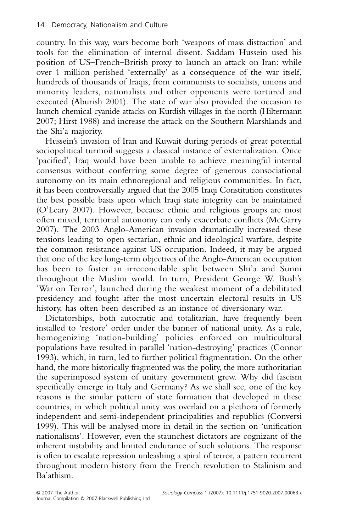country. In this way, wars become both 'weapons of mass distraction' and tools for the elimination of internal dissent. Saddam Hussein used his position of US–French–British proxy to launch an attack on Iran: while over 1 million perished 'externally' as a consequence of the war itself, hundreds of thousands of Iraqis, from communists to socialists, unions and minority leaders, nationalists and other opponents were tortured and executed (Aburish 2001). The state of war also provided the occasion to launch chemical cyanide attacks on Kurdish villages in the north (Hiltermann 2007; Hirst 1988) and increase the attack on the Southern Marshlands and the Shi'a majority.

Hussein's invasion of Iran and Kuwait during periods of great potential sociopolitical turmoil suggests a classical instance of externalization. Once 'pacified', Iraq would have been unable to achieve meaningful internal consensus without conferring some degree of generous consociational autonomy on its main ethnoregional and religious communities. In fact, it has been controversially argued that the 2005 Iraqi Constitution constitutes the best possible basis upon which Iraqi state integrity can be maintained (O'Leary 2007). However, because ethnic and religious groups are most often mixed, territorial autonomy can only exacerbate conflicts (McGarry 2007). The 2003 Anglo-American invasion dramatically increased these tensions leading to open sectarian, ethnic and ideological warfare, despite the common resistance against US occupation. Indeed, it may be argued that one of the key long-term objectives of the Anglo-American occupation has been to foster an irreconcilable split between Shi'a and Sunni throughout the Muslim world. In turn, President George W. Bush's 'War on Terror', launched during the weakest moment of a debilitated presidency and fought after the most uncertain electoral results in US history, has often been described as an instance of diversionary war.

Dictatorships, both autocratic and totalitarian, have frequently been installed to 'restore' order under the banner of national unity. As a rule, homogenizing 'nation-building' policies enforced on multicultural populations have resulted in parallel 'nation-destroying' practices (Connor 1993), which, in turn, led to further political fragmentation. On the other hand, the more historically fragmented was the polity, the more authoritarian the superimposed system of unitary government grew. Why did fascism specifically emerge in Italy and Germany? As we shall see, one of the key reasons is the similar pattern of state formation that developed in these countries, in which political unity was overlaid on a plethora of formerly independent and semi-independent principalities and republics (Conversi 1999). This will be analysed more in detail in the section on 'unification nationalisms'. However, even the staunchest dictators are cognizant of the inherent instability and limited endurance of such solutions. The response is often to escalate repression unleashing a spiral of terror, a pattern recurrent throughout modern history from the French revolution to Stalinism and Ba'athism.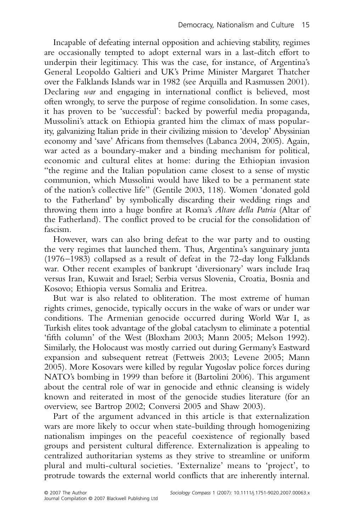Incapable of defeating internal opposition and achieving stability, regimes are occasionally tempted to adopt external wars in a last-ditch effort to underpin their legitimacy. This was the case, for instance, of Argentina's General Leopoldo Galtieri and UK's Prime Minister Margaret Thatcher over the Falklands Islands war in 1982 (see Arquilla and Rasmussen 2001). Declaring *war* and engaging in international conflict is believed, most often wrongly, to serve the purpose of regime consolidation. In some cases, it has proven to be 'successful': backed by powerful media propaganda, Mussolini's attack on Ethiopia granted him the climax of mass popularity, galvanizing Italian pride in their civilizing mission to 'develop' Abyssinian economy and 'save' Africans from themselves (Labanca 2004, 2005). Again, war acted as a boundary-maker and a binding mechanism for political, economic and cultural elites at home: during the Ethiopian invasion "the regime and the Italian population came closest to a sense of mystic communion, which Mussolini would have liked to be a permanent state of the nation's collective life" (Gentile 2003, 118). Women 'donated gold to the Fatherland' by symbolically discarding their wedding rings and throwing them into a huge bonfire at Roma's *Altare della Patria* (Altar of the Fatherland). The conflict proved to be crucial for the consolidation of fascism.

However, wars can also bring defeat to the war party and to ousting the very regimes that launched them. Thus, Argentina's sanguinary junta (1976–1983) collapsed as a result of defeat in the 72-day long Falklands war. Other recent examples of bankrupt 'diversionary' wars include Iraq versus Iran, Kuwait and Israel; Serbia versus Slovenia, Croatia, Bosnia and Kosovo; Ethiopia versus Somalia and Eritrea.

But war is also related to obliteration. The most extreme of human rights crimes, genocide, typically occurs in the wake of wars or under war conditions. The Armenian genocide occurred during World War I, as Turkish elites took advantage of the global cataclysm to eliminate a potential 'fifth column' of the West (Bloxham 2003; Mann 2005; Melson 1992). Similarly, the Holocaust was mostly carried out during Germany's Eastward expansion and subsequent retreat (Fettweis 2003; Levene 2005; Mann 2005). More Kosovars were killed by regular Yugoslav police forces during NATO's bombing in 1999 than before it (Bartolini 2006). This argument about the central role of war in genocide and ethnic cleansing is widely known and reiterated in most of the genocide studies literature (for an overview, see Bartrop 2002; Conversi 2005 and Shaw 2003).

Part of the argument advanced in this article is that externalization wars are more likely to occur when state-building through homogenizing nationalism impinges on the peaceful coexistence of regionally based groups and persistent cultural difference. Externalization is appealing to centralized authoritarian systems as they strive to streamline or uniform plural and multi-cultural societies. 'Externalize' means to 'project', to protrude towards the external world conflicts that are inherently internal.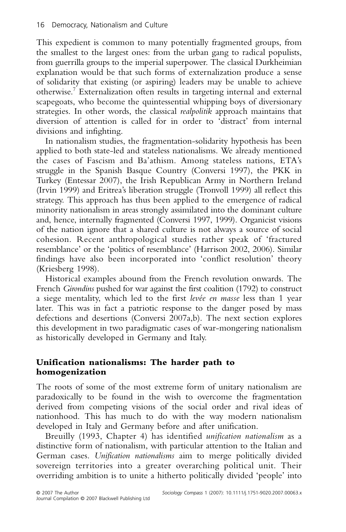This expedient is common to many potentially fragmented groups, from the smallest to the largest ones: from the urban gang to radical populists, from guerrilla groups to the imperial superpower. The classical Durkheimian explanation would be that such forms of externalization produce a sense of solidarity that existing (or aspiring) leaders may be unable to achieve otherwise.<sup>7</sup> Externalization often results in targeting internal and external scapegoats, who become the quintessential whipping boys of diversionary strategies. In other words, the classical *realpolitik* approach maintains that diversion of attention is called for in order to 'distract' from internal divisions and infighting.

In nationalism studies, the fragmentation-solidarity hypothesis has been applied to both state-led and stateless nationalisms. We already mentioned the cases of Fascism and Ba'athism. Among stateless nations, ETA's struggle in the Spanish Basque Country (Conversi 1997), the PKK in Turkey (Entessar 2007), the Irish Republican Army in Northern Ireland (Irvin 1999) and Eritrea's liberation struggle (Tronvoll 1999) all reflect this strategy. This approach has thus been applied to the emergence of radical minority nationalism in areas strongly assimilated into the dominant culture and, hence, internally fragmented (Conversi 1997, 1999). Organicist visions of the nation ignore that a shared culture is not always a source of social cohesion. Recent anthropological studies rather speak of 'fractured resemblance' or the 'politics of resemblance' (Harrison 2002, 2006). Similar findings have also been incorporated into 'conflict resolution' theory (Kriesberg 1998).

Historical examples abound from the French revolution onwards. The French *Girondins* pushed for war against the first coalition (1792) to construct a siege mentality, which led to the first *levée en masse* less than 1 year later. This was in fact a patriotic response to the danger posed by mass defections and desertions (Conversi 2007a,b). The next section explores this development in two paradigmatic cases of war-mongering nationalism as historically developed in Germany and Italy.

## **Unification nationalisms: The harder path to homogenization**

The roots of some of the most extreme form of unitary nationalism are paradoxically to be found in the wish to overcome the fragmentation derived from competing visions of the social order and rival ideas of nationhood. This has much to do with the way modern nationalism developed in Italy and Germany before and after unification.

Breuilly (1993, Chapter 4) has identified *unification nationalism* as a distinctive form of nationalism, with particular attention to the Italian and German cases. *Unification nationalisms* aim to merge politically divided sovereign territories into a greater overarching political unit. Their overriding ambition is to unite a hitherto politically divided 'people' into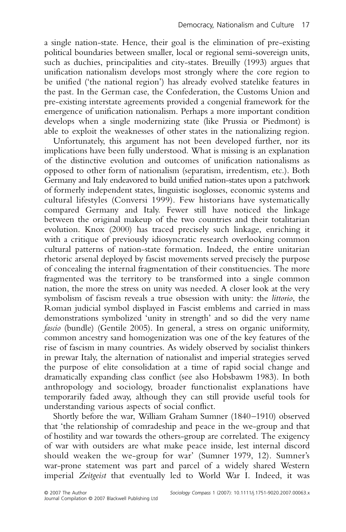a single nation-state. Hence, their goal is the elimination of pre-existing political boundaries between smaller, local or regional semi-sovereign units, such as duchies, principalities and city-states. Breuilly (1993) argues that unification nationalism develops most strongly where the core region to be unified ('the national region') has already evolved statelike features in the past. In the German case, the Confederation, the Customs Union and pre-existing interstate agreements provided a congenial framework for the emergence of unification nationalism. Perhaps a more important condition develops when a single modernizing state (like Prussia or Piedmont) is able to exploit the weaknesses of other states in the nationalizing region.

Unfortunately, this argument has not been developed further, nor its implications have been fully understood. What is missing is an explanation of the distinctive evolution and outcomes of unification nationalisms as opposed to other form of nationalism (separatism, irredentism, etc.). Both Germany and Italy endeavored to build unified nation-states upon a patchwork of formerly independent states, linguistic isoglosses, economic systems and cultural lifestyles (Conversi 1999). Few historians have systematically compared Germany and Italy. Fewer still have noticed the linkage between the original makeup of the two countries and their totalitarian evolution. Knox (2000) has traced precisely such linkage, enriching it with a critique of previously idiosyncratic research overlooking common cultural patterns of nation-state formation. Indeed, the entire unitarian rhetoric arsenal deployed by fascist movements served precisely the purpose of concealing the internal fragmentation of their constituencies. The more fragmented was the territory to be transformed into a single common nation, the more the stress on unity was needed. A closer look at the very symbolism of fascism reveals a true obsession with unity: the *littorio*, the Roman judicial symbol displayed in Fascist emblems and carried in mass demonstrations symbolized 'unity in strength' and so did the very name *fascio* (bundle) (Gentile 2005). In general, a stress on organic uniformity, common ancestry sand homogenization was one of the key features of the rise of fascism in many countries. As widely observed by socialist thinkers in prewar Italy, the alternation of nationalist and imperial strategies served the purpose of elite consolidation at a time of rapid social change and dramatically expanding class conflict (see also Hobsbawm 1983). In both anthropology and sociology, broader functionalist explanations have temporarily faded away, although they can still provide useful tools for understanding various aspects of social conflict.

Shortly before the war, William Graham Sumner (1840–1910) observed that 'the relationship of comradeship and peace in the we-group and that of hostility and war towards the others-group are correlated. The exigency of war with outsiders are what make peace inside, lest internal discord should weaken the we-group for war' (Sumner 1979, 12). Sumner's war-prone statement was part and parcel of a widely shared Western imperial *Zeitgeist* that eventually led to World War I. Indeed, it was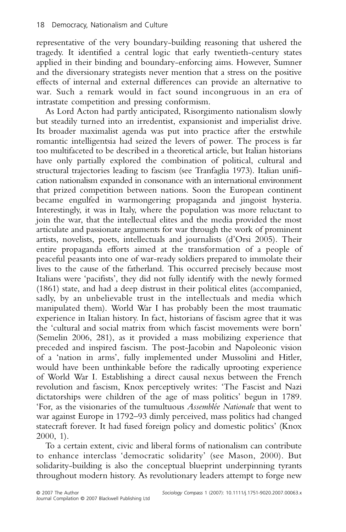representative of the very boundary-building reasoning that ushered the tragedy. It identified a central logic that early twentieth-century states applied in their binding and boundary-enforcing aims. However, Sumner and the diversionary strategists never mention that a stress on the positive effects of internal and external differences can provide an alternative to war. Such a remark would in fact sound incongruous in an era of intrastate competition and pressing conformism.

As Lord Acton had partly anticipated, Risorgimento nationalism slowly but steadily turned into an irredentist, expansionist and imperialist drive. Its broader maximalist agenda was put into practice after the erstwhile romantic intelligentsia had seized the levers of power. The process is far too multifaceted to be described in a theoretical article, but Italian historians have only partially explored the combination of political, cultural and structural trajectories leading to fascism (see Tranfaglia 1973). Italian unification nationalism expanded in consonance with an international environment that prized competition between nations. Soon the European continent became engulfed in warmongering propaganda and jingoist hysteria. Interestingly, it was in Italy, where the population was more reluctant to join the war, that the intellectual elites and the media provided the most articulate and passionate arguments for war through the work of prominent artists, novelists, poets, intellectuals and journalists (d'Orsi 2005). Their entire propaganda efforts aimed at the transformation of a people of peaceful peasants into one of war-ready soldiers prepared to immolate their lives to the cause of the fatherland. This occurred precisely because most Italians were 'pacifists', they did not fully identify with the newly formed (1861) state, and had a deep distrust in their political elites (accompanied, sadly, by an unbelievable trust in the intellectuals and media which manipulated them). World War I has probably been the most traumatic experience in Italian history. In fact, historians of fascism agree that it was the 'cultural and social matrix from which fascist movements were born' (Semelin 2006, 281), as it provided a mass mobilizing experience that preceded and inspired fascism. The post-Jacobin and Napoleonic vision of a 'nation in arms', fully implemented under Mussolini and Hitler, would have been unthinkable before the radically uprooting experience of World War I. Establishing a direct causal nexus between the French revolution and fascism, Knox perceptively writes: 'The Fascist and Nazi dictatorships were children of the age of mass politics' begun in 1789. 'For, as the visionaries of the tumultuous *Assemblée Nationale* that went to war against Europe in 1792–93 dimly perceived, mass politics had changed statecraft forever. It had fused foreign policy and domestic politics' (Knox 2000, 1).

To a certain extent, civic and liberal forms of nationalism can contribute to enhance interclass 'democratic solidarity' (see Mason, 2000). But solidarity-building is also the conceptual blueprint underpinning tyrants throughout modern history. As revolutionary leaders attempt to forge new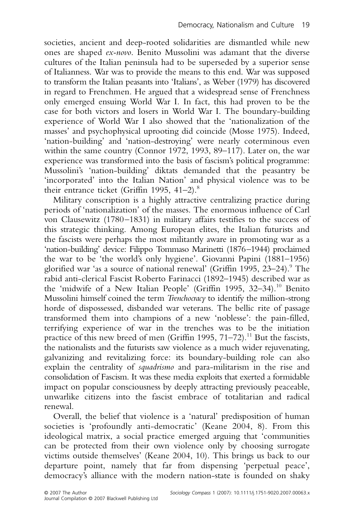societies, ancient and deep-rooted solidarities are dismantled while new ones are shaped *ex-novo*. Benito Mussolini was adamant that the diverse cultures of the Italian peninsula had to be superseded by a superior sense of Italianness. War was to provide the means to this end. War was supposed to transform the Italian peasants into 'Italians', as Weber (1979) has discovered in regard to Frenchmen. He argued that a widespread sense of Frenchness only emerged ensuing World War I. In fact, this had proven to be the case for both victors and losers in World War I. The boundary-building experience of World War I also showed that the 'nationalization of the masses' and psychophysical uprooting did coincide (Mosse 1975). Indeed, 'nation-building' and 'nation-destroying' were nearly coterminous even within the same country (Connor 1972, 1993, 89–117). Later on, the war experience was transformed into the basis of fascism's political programme: Mussolini's 'nation-building' diktats demanded that the peasantry be 'incorporated' into the Italian Nation' and physical violence was to be their entrance ticket (Griffin 1995,  $41-2$ ).<sup>8</sup>

Military conscription is a highly attractive centralizing practice during periods of 'nationalization' of the masses. The enormous influence of Carl von Clausewitz (1780–1831) in military affairs testifies to the success of this strategic thinking. Among European elites, the Italian futurists and the fascists were perhaps the most militantly aware in promoting war as a 'nation-building' device: Filippo Tommaso Marinetti (1876–1944) proclaimed the war to be 'the world's only hygiene'. Giovanni Papini (1881–1956) glorified war 'as a source of national renewal' (Griffin 1995, 23–24).<sup>9</sup> The rabid anti-clerical Fascist Roberto Farinacci (1892–1945) described war as the 'midwife of a New Italian People' (Griffin 1995, 32-34).<sup>10</sup> Benito Mussolini himself coined the term *Trenchocracy* to identify the million-strong horde of dispossessed, disbanded war veterans. The bellic rite of passage transformed them into champions of a new 'noblesse': the pain-filled, terrifying experience of war in the trenches was to be the initiation practice of this new breed of men (Griffin 1995,  $71-72$ ).<sup>11</sup> But the fascists, the nationalists and the futurists saw violence as a much wider rejuvenating, galvanizing and revitalizing force: its boundary-building role can also explain the centrality of *squadrismo* and para-militarism in the rise and consolidation of Fascism. It was these media exploits that exerted a formidable impact on popular consciousness by deeply attracting previously peaceable, unwarlike citizens into the fascist embrace of totalitarian and radical renewal.

Overall, the belief that violence is a 'natural' predisposition of human societies is 'profoundly anti-democratic' (Keane 2004, 8). From this ideological matrix, a social practice emerged arguing that 'communities can be protected from their own violence only by choosing surrogate victims outside themselves' (Keane 2004, 10). This brings us back to our departure point, namely that far from dispensing 'perpetual peace', democracy's alliance with the modern nation-state is founded on shaky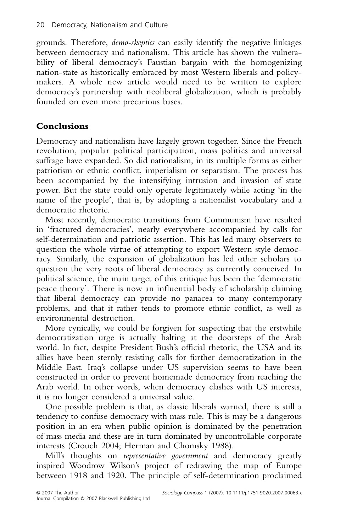grounds. Therefore, *demo-skeptics* can easily identify the negative linkages between democracy and nationalism. This article has shown the vulnerability of liberal democracy's Faustian bargain with the homogenizing nation-state as historically embraced by most Western liberals and policymakers. A whole new article would need to be written to explore democracy's partnership with neoliberal globalization, which is probably founded on even more precarious bases.

## **Conclusions**

Democracy and nationalism have largely grown together. Since the French revolution, popular political participation, mass politics and universal suffrage have expanded. So did nationalism, in its multiple forms as either patriotism or ethnic conflict, imperialism or separatism. The process has been accompanied by the intensifying intrusion and invasion of state power. But the state could only operate legitimately while acting 'in the name of the people', that is, by adopting a nationalist vocabulary and a democratic rhetoric.

Most recently, democratic transitions from Communism have resulted in 'fractured democracies', nearly everywhere accompanied by calls for self-determination and patriotic assertion. This has led many observers to question the whole virtue of attempting to export Western style democracy. Similarly, the expansion of globalization has led other scholars to question the very roots of liberal democracy as currently conceived. In political science, the main target of this critique has been the 'democratic peace theory'. There is now an influential body of scholarship claiming that liberal democracy can provide no panacea to many contemporary problems, and that it rather tends to promote ethnic conflict, as well as environmental destruction.

More cynically, we could be forgiven for suspecting that the erstwhile democratization urge is actually halting at the doorsteps of the Arab world. In fact, despite President Bush's official rhetoric, the USA and its allies have been sternly resisting calls for further democratization in the Middle East. Iraq's collapse under US supervision seems to have been constructed in order to prevent homemade democracy from reaching the Arab world. In other words, when democracy clashes with US interests, it is no longer considered a universal value.

One possible problem is that, as classic liberals warned, there is still a tendency to confuse democracy with mass rule. This is may be a dangerous position in an era when public opinion is dominated by the penetration of mass media and these are in turn dominated by uncontrollable corporate interests (Crouch 2004; Herman and Chomsky 1988).

Mill's thoughts on *representative government* and democracy greatly inspired Woodrow Wilson's project of redrawing the map of Europe between 1918 and 1920. The principle of self-determination proclaimed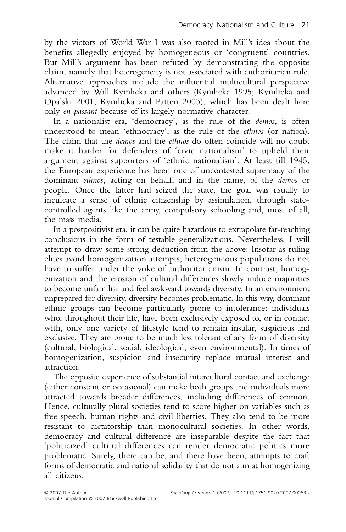by the victors of World War I was also rooted in Mill's idea about the benefits allegedly enjoyed by homogeneous or 'congruent' countries. But Mill's argument has been refuted by demonstrating the opposite claim, namely that heterogeneity is not associated with authoritarian rule. Alternative approaches include the influential multicultural perspective advanced by Will Kymlicka and others (Kymlicka 1995; Kymlicka and Opalski 2001; Kymlicka and Patten 2003), which has been dealt here only *en passant* because of its largely normative character.

In a nationalist era, 'democracy', as the rule of the *demos*, is often understood to mean 'ethnocracy', as the rule of the *ethnos* (or nation). The claim that the *demos* and the *ethnos* do often coincide will no doubt make it harder for defenders of 'civic nationalism' to upheld their argument against supporters of 'ethnic nationalism'. At least till 1945, the European experience has been one of uncontested supremacy of the dominant *ethnos*, acting on behalf, and in the name, of the *demos* or people. Once the latter had seized the state, the goal was usually to inculcate a sense of ethnic citizenship by assimilation, through statecontrolled agents like the army, compulsory schooling and, most of all, the mass media.

In a postpositivist era, it can be quite hazardous to extrapolate far-reaching conclusions in the form of testable generalizations. Nevertheless, I will attempt to draw some strong deduction from the above: Insofar as ruling elites avoid homogenization attempts, heterogeneous populations do not have to suffer under the yoke of authoritarianism. In contrast, homogenization and the erosion of cultural differences slowly induce majorities to become unfamiliar and feel awkward towards diversity. In an environment unprepared for diversity, diversity becomes problematic. In this way, dominant ethnic groups can become particularly prone to intolerance: individuals who, throughout their life, have been exclusively exposed to, or in contact with, only one variety of lifestyle tend to remain insular, suspicious and exclusive. They are prone to be much less tolerant of any form of diversity (cultural, biological, social, ideological, even environmental). In times of homogenization, suspicion and insecurity replace mutual interest and attraction.

The opposite experience of substantial intercultural contact and exchange (either constant or occasional) can make both groups and individuals more attracted towards broader differences, including differences of opinion. Hence, culturally plural societies tend to score higher on variables such as free speech, human rights and civil liberties. They also tend to be more resistant to dictatorship than monocultural societies. In other words, democracy and cultural difference are inseparable despite the fact that 'politicized' cultural differences can render democratic politics more problematic. Surely, there can be, and there have been, attempts to craft forms of democratic and national solidarity that do not aim at homogenizing all citizens.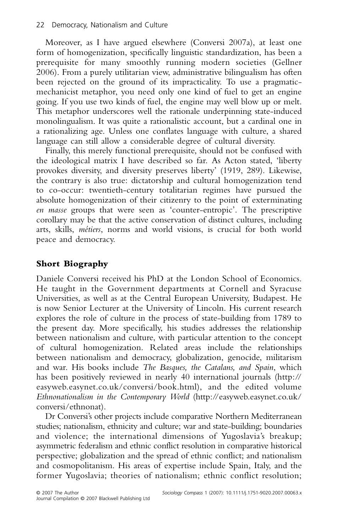Moreover, as I have argued elsewhere (Conversi 2007a), at least one form of homogenization, specifically linguistic standardization, has been a prerequisite for many smoothly running modern societies (Gellner 2006). From a purely utilitarian view, administrative bilingualism has often been rejected on the ground of its impracticality. To use a pragmaticmechanicist metaphor, you need only one kind of fuel to get an engine going. If you use two kinds of fuel, the engine may well blow up or melt. This metaphor underscores well the rationale underpinning state-induced monolingualism. It was quite a rationalistic account, but a cardinal one in a rationalizing age. Unless one conflates language with culture, a shared language can still allow a considerable degree of cultural diversity.

Finally, this merely functional prerequisite, should not be confused with the ideological matrix I have described so far. As Acton stated, 'liberty provokes diversity, and diversity preserves liberty' (1919, 289). Likewise, the contrary is also true: dictatorship and cultural homogenization tend to co-occur: twentieth-century totalitarian regimes have pursued the absolute homogenization of their citizenry to the point of exterminating *en masse* groups that were seen as 'counter-entropic'. The prescriptive corollary may be that the active conservation of distinct cultures, including arts, skills, *métiers*, norms and world visions, is crucial for both world peace and democracy.

## **Short Biography**

Daniele Conversi received his PhD at the London School of Economics. He taught in the Government departments at Cornell and Syracuse Universities, as well as at the Central European University, Budapest. He is now Senior Lecturer at the University of Lincoln. His current research explores the role of culture in the process of state-building from 1789 to the present day. More specifically, his studies addresses the relationship between nationalism and culture, with particular attention to the concept of cultural homogenization. Related areas include the relationships between nationalism and democracy, globalization, genocide, militarism and war. His books include *The Basques, the Catalans, and Spain*, which [has been positively reviewed in nearly 40 international journals \(http://](http://easyweb.easynet.co.uk/conversi/book.html) easyweb.easynet.co.uk/conversi/book.html), and the edited volume *[Ethnonationalism in the Contemporary World](http://easyweb.easynet.co.uk/conversi/ethnonat)* (http://easyweb.easynet.co.uk/ conversi/ethnonat).

Dr Conversi's other projects include comparative Northern Mediterranean studies; nationalism, ethnicity and culture; war and state-building; boundaries and violence; the international dimensions of Yugoslavia's breakup; asymmetric federalism and ethnic conflict resolution in comparative historical perspective; globalization and the spread of ethnic conflict; and nationalism and cosmopolitanism. His areas of expertise include Spain, Italy, and the former Yugoslavia; theories of nationalism; ethnic conflict resolution;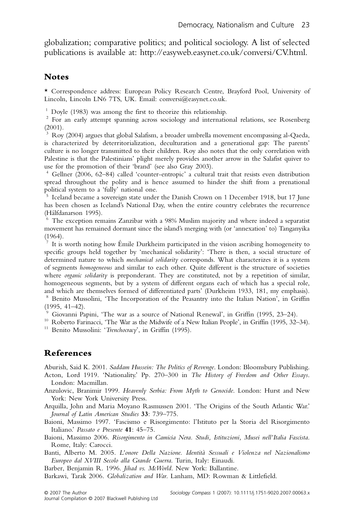globalization; comparative politics; and political sociology. A list of selected publications is available at[: http://easyweb.easynet.co.uk/conversi/CV.html.](http://easyweb.easynet.co.uk/conversi/CV.html)

#### **Notes**

\* Correspondence address: European Policy Research Centre, Brayford Pool, University of Lincoln, Lincoln LN6 7TS, UK. Email: conversi@easynet.co.uk.

 $1$  Doyle (1983) was among the first to theorize this relationship.

<sup>2</sup> For an early attempt spanning across sociology and international relations, see Rosenberg (2001).

<sup>3</sup> Roy (2004) argues that global Salafism, a broader umbrella movement encompassing al-Qaeda, is characterized by deterritorialization, deculturation and a generational gap: The parents' culture is no longer transmitted to their children. Roy also notes that the only correlation with Palestine is that the Palestinians' plight merely provides another arrow in the Salafist quiver to use for the promotion of their 'brand' (see also Gray 2003).

<sup>4</sup> Gellner (2006, 62–84) called 'counter-entropic' a cultural trait that resists even distribution spread throughout the polity and is hence assumed to hinder the shift from a prenational political system to a 'fully' national one.

<sup>5</sup> Iceland became a sovereign state under the Danish Crown on 1 December 1918, but 17 June has been chosen as Iceland's National Day, when the entire country celebrates the recurrence (Hálfdanarson 1995).

<sup>6</sup> The exception remains Zanzibar with a 98% Muslim majority and where indeed a separatist movement has remained dormant since the island's merging with (or 'annexation' to) Tanganyika  $(1964)$ .

 $^7$  It is worth noting how Émile Durkheim participated in the vision ascribing homogeneity to specific groups held together by 'mechanical solidarity': 'There is then, a social structure of determined nature to which *mechanical solidarity* corresponds. What characterizes it is a system of segments *homogeneous* and similar to each other. Quite different is the structure of societies where *organic solidarity* is preponderant. They are constituted, not by a repetition of similar, homogeneous segments, but by a system of different organs each of which has a special role, and which are themselves formed of differentiated parts' (Durkheim 1933, 181, my emphasis).

<sup>8</sup> Benito Mussolini, 'The Incorporation of the Peasantry into the Italian Nation', in Griffin (1995, 41–42).

<sup>9</sup> Giovanni Papini, 'The war as a source of National Renewal', in Griffin (1995, 23–24).

<sup>10</sup> Roberto Farinacci, 'The War as the Midwife of a New Italian People', in Griffin (1995, 32-34).

<sup>11</sup> Benito Mussolini: '*Trenchocracy*', in Griffin (1995).

## **References**

Aburish, Said K. 2001. *Saddam Hussein: The Politics of Revenge*. London: Bloomsbury Publishing.

Acton, Lord 1919. 'Nationality.' Pp. 270–300 in *The History of Freedom and Other Essays*. London: Macmillan.

Anzulovic, Branimir 1999. *Heavenly Serbia: From Myth to Genocide*. London: Hurst and New York: New York University Press.

Arquilla, John and Maria Moyano Rasmussen 2001. 'The Origins of the South Atlantic War.' *Journal of Latin American Studies* **33**: 739–775.

Baioni, Massimo 1997. 'Fascismo e Risorgimento: l'Istituto per la Storia del Risorgimento Italiano.' *Passato e Presente* **41**: 45–75.

Baioni, Massimo 2006. *Risorgimento in Camicia Nera. Studi, Istituzioni, Musei nell'Italia Fascista*. Rome, Italy: Carocci.

Banti, Alberto M. 2005. *L'onore Della Nazione. Identità Sessuali e Violenza nel Nazionalismo Europeo dal XVIII Secolo alla Grande Guerra*. Turin, Italy: Einaudi.

Barber, Benjamin R. 1996. *Jihad vs. McWorld*. New York: Ballantine.

Barkawi, Tarak 2006. *Globalization and War*. Lanham, MD: Rowman & Littlefield.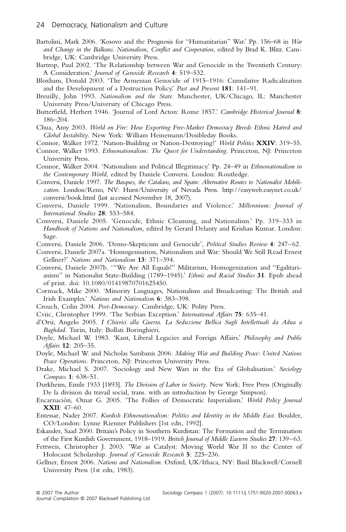- Bartolini, Mark 2006. 'Kosovo and the Prognosis for "Humanitarian" War.' Pp. 156–68 in *War and Change in the Balkans. Nationalism, Conflict and Cooperation*, edited by Brad K. Blitz. Cambridge, UK: Cambridge University Press.
- Bartrop, Paul 2002. 'The Relationship between War and Genocide in the Twentieth Century: A Consideration.' *Journal of Genocide Research* **4**: 519–532.
- Bloxham, Donald 2003. 'The Armenian Genocide of 1915–1916: Cumulative Radicalization and the Development of a Destruction Policy.' *Past and Present* **181**: 141–91.
- Breuilly, John 1993. *Nationalism and the State*. Manchester, UK/Chicago, IL: Manchester University Press/University of Chicago Press.
- Butterfield, Herbert 1946. 'Journal of Lord Acton: Rome 1857.' *Cambridge Historical Journal* **8**: 186–204.
- Chua, Amy 2003. *World on Fire: How Exporting Free-Market Democracy Breeds Ethnic Hatred and Global Instability*. New York: William Heinemann/Doubleday Books.
- Connor, Walker 1972. 'Nation-Building or Nation-Destroying?' *World Politics* **XXIV**: 319–55.
- Connor, Walker 1993. *Ethnonationalism: The Quest for Understanding*. Princeton, NJ: Princeton University Press.
- Connor, Walker 2004. 'Nationalism and Political Illegitimacy.' Pp. 24–49 in *Ethnonationalism in the Contemporary World*, edited by Daniele Conversi. London: Routledge.
- Conversi, Daniele 1997. *The Basques, the Catalans, and Spain: Alternative Routes to Nationalist Mobilization*[. London/Reno, NV: Hurst/University of Nevada Press. http://easyweb.easynet.co.uk/](http://easyweb.easynet.co.uk/conversi/book.html) conversi/book.html (last accessed November 18, 2007).
- Conversi, Daniele 1999. 'Nationalism, Boundaries and Violence.' *Millennium: Journal of International Studies* **28**: 553–584.
- Conversi, Daniele 2005. 'Genocide, Ethnic Cleansing, and Nationalism.' Pp. 319–333 in *Handbook of Nations and Nationalism*, edited by Gerard Delanty and Krishan Kumar. London: Sage.
- Conversi, Daniele 2006. 'Demo-Skepticism and Genocide', *Political Studies Review* **4**: 247–62.
- Conversi, Daniele 2007a. 'Homogenisation, Nationalism and War: Should We Still Read Ernest Gellner?' *Nations and Nationalism* **13**: 371–394.
- Conversi, Daniele 2007b. '"We Are All Equals!" Militarism, Homogenization and "Egalitarianism" in Nationalist State-Building (1789–1945).' *Ethnic and Racial Studies* **31**. Epub ahead of print. doi: [10.1080/01419870701625450.](10.1080/01419870701625450)
- Cormack, Mike 2000. 'Minority Languages, Nationalism and Broadcasting: The British and Irish Examples.' *Nations and Nationalism* **6**: 383–398.
- Crouch, Colin 2004. *Post-Democracy*. Cambridge, UK: Polity Press.
- Cviic, Christopher 1999. 'The Serbian Exception.' *International Affairs* **75**: 635–41.
- d'Orsi, Angelo 2005. *I Chierici alla Guerra. La Seduzione Bellica Sugli Intellettuali da Adua a Baghdad*. Turin, Italy: Bollati Boringhieri.
- Doyle, Michael W. 1983. 'Kant, Liberal Legacies and Foreign Affairs.' *Philosophy and Public Affairs* **12**: 205–35.
- Doyle, Michael W. and Nicholas Sambanis 2006. *Making War and Building Peace: United Nations Peace Operations*. Princeton, NJ: Princeton University Press.
- Drake, Michael S. 2007. 'Sociology and New Wars in the Era of Globalisation.' *Sociology Compass* **1**: 638–51.
- Durkheim, Emile 1933 [1893]. *The Division of Labor in Society*. New York: Free Press (Originally De la division du travail social, trans. with an introduction by George Simpson).
- Encarnación, Omar G. 2005. 'The Follies of Democratic Imperialism.' *World Policy Journal* **XXII**: 47–60.
- Entessar, Nader 2007. *Kurdish Ethnonationalism: Politics and Identity in the Middle East*. Boulder, CO/London: Lynne Rienner Publishers [1st edn, 1992].
- Eskander, Saad 2000. Britain's Policy in Southern Kurdistan: The Formation and the Termination of the First Kurdish Government, 1918–1919. *British Journal of Middle Eastern Studies* **27**: 139–63.
- Fettweis, Christopher J. 2003. 'War as Catalyst: Moving World War II to the Center of Holocaust Scholarship. *Journal of Genocide Research* **5**: 225–236.
- Gellner, Ernest 2006. *Nations and Nationalism*. Oxford, UK/Ithaca, NY: Basil Blackwell/Cornell University Press (1st edn, 1983).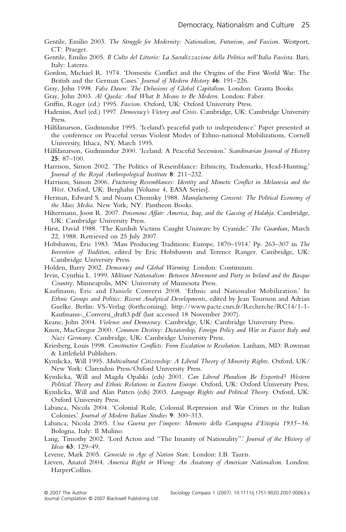- Gentile, Emilio 2003. *The Struggle for Modernity: Nationalism, Futurism, and Fascism*. Westport, CT: Praeger.
- Gentile, Emilio 2005. *Il Culto del Littorio: La Sacralizzazione della Politica nell'Italia Fascista*. Bari, Italy: Laterza.
- Gordon, Michael R. 1974. 'Domestic Conflict and the Origins of the First World War: The British and the German Cases.' *Journal of Modern History* **46**: 191–226.
- Gray, John 1998. *False Dawn: The Delusions of Global Capitalism*. London: Granta Books.
- Gray, John 2003. *Al Qaeda: And What It Means to Be Modern*. London: Faber.
- Griffin, Roger (ed.) 1995. *Fascism*. Oxford, UK: Oxford University Press.
- Hadenius, Axel (ed.) 1997. *Democracy's Victory and Crisis*. Cambridge, UK: Cambridge University Press.
- Hálfdanarson, Gudmundur 1995. 'Iceland's peaceful path to independence.' Paper presented at the conference on Peaceful versus Violent Modes of Ethno-national Mobilizations, Cornell University, Ithaca, NY, March 1995.
- Hálfdanarson, Gudmundur 2000. 'Iceland: A Peaceful Secession.' *Scandinavian Journal of History* **25**: 87–100.
- Harrison, Simon 2002. 'The Politics of Resemblance: Ethnicity, Trademarks, Head-Hunting.' *Journal of the Royal Anthropological Institute* **8**: 211–232.
- Harrison, Simon 2006. *Fracturing Resemblances: Identity and Mimetic Conflict in Melanesia and the West*. Oxford, UK: Berghahn [Volume 4, EASA Series].
- Herman, Edward S. and Noam Chomsky 1988. *Manufacturing Consent: The Political Economy of the Mass Media*. New York, NY: Pantheon Books.
- Hiltermann, Joost R. 2007. *Poisonous Affair: America, Iraq, and the Gassing of Halabja*. Cambridge, UK: Cambridge University Press.
- Hirst, David 1988. 'The Kurdish Victims Caught Unaware by Cyanide.' *The Guardian*, March 22, 1988. Retrieved on 25 July 2007.
- Hobsbawm, Eric 1983. 'Mass Producing Traditions: Europe, 1870–1914.' Pp. 263–307 in *The Invention of Tradition*, edited by Eric Hobsbawm and Terence Ranger. Cambridge, UK: Cambridge University Press.
- Holden, Barry 2002. *Democracy and Global Warming*. London: Continuum.
- Irvin, Cynthia L. 1999. *Militant Nationalism: Between Movement and Party in Ireland and the Basque Country*. Minneapolis, MN: University of Minnesota Press.
- Kaufmann, Eric and Daniele Conversi 2008. 'Ethnic and Nationalist Mobilization.' In *Ethnic Groups and Politics: Recent Analytical Developments*, edited by Jean Tournon and Adrian [Guelke. Berlin: VS-Verlag \(forthcoming\). http://www.pacte.cnrs.fr/Recherche/RC14/1-1-](http://www.pacte.cnrs.fr/Recherche/RC14/1-1-Kaufmann-_Conversi_draft3.pdf) Kaufmann-\_Conversi\_draft3.pdf (last accessed 18 November 2007).
- Keane, John 2004. *Violence and Democracy*. Cambridge, UK: Cambridge University Press.
- Knox, MacGregor 2000. *Common Destiny: Dictatorship, Foreign Policy and War in Fascist Italy and Nazi Germany*. Cambridge, UK: Cambridge University Press.
- Kriesberg, Louis 1998. *Constructive Conflicts: From Escalation to Resolution*. Lanham, MD: Rowman & Littlefield Publishers.
- Kymlicka, Will 1995. *Multicultural Citizenship: A Liberal Theory of Minority Rights*. Oxford, UK/ New York: Clarendon Press/Oxford University Press.
- Kymlicka, Will and Magda Opalski (eds) 2001. *Can Liberal Pluralism Be Exported? Western Political Theory and Ethnic Relations in Eastern Europe*. Oxford, UK: Oxford University Press.
- Kymlicka, Will and Alan Patten (eds) 2003. *Language Rights and Political Theory*. Oxford, UK: Oxford University Press.
- Labanca, Nicola 2004. 'Colonial Rule, Colonial Repression and War Crimes in the Italian Colonies.' *Journal of Modern Italian Studies* **9**: 300–313.
- Labanca, Nicola 2005. *Una Guerra per l'impero: Memorie della Campagna d'Etiopia 1935–36*. Bologna, Italy: Il Mulino.
- Lang, Timothy 2002. 'Lord Acton and "The Insanity of Nationality".' *Journal of the History of Ideas* **63**: 129–49.
- Levene, Mark 2005. *Genocide in Age of Nation State*. London: I.B. Tauris.
- Lieven, Anatol 2004. *America Right or Wrong: An Anatomy of American Nationalism*. London: HarperCollins.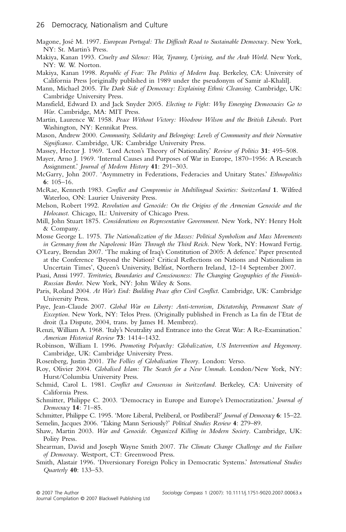- Magone, José M. 1997. *European Portugal: The Difficult Road to Sustainable Democracy*. New York, NY: St. Martin's Press.
- Makiya, Kanan 1993. *Cruelty and Silence: War, Tyranny, Uprising, and the Arab World*. New York, NY: W. W. Norton.
- Makiya, Kanan 1998. *Republic of Fear: The Politics of Modern Iraq*. Berkeley, CA: University of California Press [originally published in 1989 under the pseudonym of Samir al-Khalil].
- Mann, Michael 2005. *The Dark Side of Democracy: Explaining Ethnic Cleansing*. Cambridge, UK: Cambridge University Press.
- Mansfield, Edward D. and Jack Snyder 2005. *Electing to Fight: Why Emerging Democracies Go to War*. Cambridge, MA: MIT Press.
- Martin, Laurence W. 1958. *Peace Without Victory: Woodrow Wilson and the British Liberals*. Port Washington, NY: Kennikat Press.
- Mason, Andrew 2000. *Community, Solidarity and Belonging: Levels of Community and their Normative Significance*. Cambridge, UK: Cambridge University Press.
- Massey, Hector J. 1969. 'Lord Acton's Theory of Nationality.' *Review of Politics* **31**: 495–508.
- Mayer, Arno J. 1969. 'Internal Causes and Purposes of War in Europe, 1870–1956: A Research Assignment.' *Journal of Modern History* **41**: 291–303.
- McGarry, John 2007. 'Asymmetry in Federations, Federacies and Unitary States.' *Ethnopolitics* **6**: 105–16.
- McRae, Kenneth 1983. *Conflict and Compromise in Multilingual Societies: Switzerland* **1**. Wilfred Waterloo, ON: Laurier University Press.
- Melson, Robert 1992. *Revolution and Genocide: On the Origins of the Armenian Genocide and the Holocaust*. Chicago, IL: University of Chicago Press.
- Mill, John Stuart 1875. *Considerations on Representative Government*. New York, NY: Henry Holt & Company.
- Mosse George L. 1975. *The Nationalization of the Masses: Political Symbolism and Mass Movements in Germany from the Napoleonic Wars Through the Third Reich*. New York, NY: Howard Fertig.
- O'Leary, Brendan 2007. 'The making of Iraq's Constitution of 2005: A defence.' Paper presented at the Conference 'Beyond the Nation? Critical Reflections on Nations and Nationalism in Uncertain Times', Queen's University, Belfast, Northern Ireland, 12–14 September 2007.
- Paasi, Anssi 1997. *Territories, Boundaries and Consciousness: The Changing Geographies of the Finnish-Russian Border*. New York, NY: John Wiley & Sons.
- Paris, Roland 2004. *At War's End: Building Peace after Civil Conflict*. Cambridge, UK: Cambridge University Press.
- Paye, Jean-Claude 2007. *Global War on Liberty: Anti-terrorism, Dictatorship, Permanent State of Exception*. New York, NY: Telos Press. (Originally published in French as La fin de l'Etat de droit (La Dispute, 2004, trans. by James H. Membrez).
- Renzi, William A. 1968. 'Italy's Neutrality and Entrance into the Great War: A Re-Examination.' *American Historical Review* **73**: 1414–1432.

Robinson, William I. 1996. *Promoting Polyarchy: Globalization, US Intervention and Hegemony*. Cambridge, UK: Cambridge University Press.

Rosenberg, Justin 2001. *The Follies of Globalisation Theory*. London: Verso.

- Roy, Olivier 2004. *Globalised Islam: The Search for a New Ummah*. London/New York, NY: Hurst/Columbia University Press.
- Schmid, Carol L. 1981. *Conflict and Consensus in Switzerland*. Berkeley, CA: University of California Press.
- Schmitter, Philippe C. 2003. 'Democracy in Europe and Europe's Democratization.' *Journal of Democracy* **14**: 71–85.
- Schmitter, Philippe C. 1995. 'More Liberal, Preliberal, or Postliberal?' *Journal of Democracy* **6**: 15–22.

Semelin, Jacques 2006. 'Taking Mann Seriously?' *Political Studies Review* **4**: 279–89.

- Shaw, Martin 2003. *War and Genocide. Organized Killing in Modern Society*. Cambridge, UK: Polity Press.
- Shearman, David and Joseph Wayne Smith 2007. *The Climate Change Challenge and the Failure of Democracy*. Westport, CT: Greenwood Press.
- Smith, Alastair 1996. 'Diversionary Foreign Policy in Democratic Systems.' *International Studies Quarterly* **40**: 133–53.